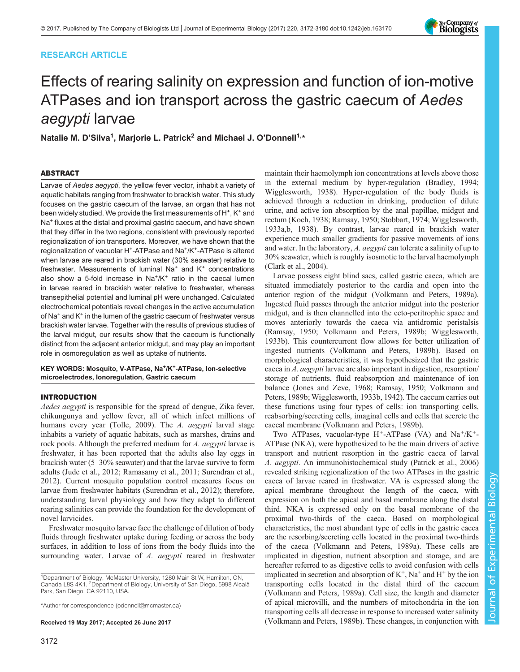# RESEARCH ARTICLE



# Effects of rearing salinity on expression and function of ion-motive ATPases and ion transport across the gastric caecum of Aedes aegypti larvae

Natalie M. D'Silva<sup>1</sup>, Marjorie L. Patrick<sup>2</sup> and Michael J. O'Donnell<sup>1,</sup>\*

## ABSTRACT

Larvae of Aedes aegypti, the yellow fever vector, inhabit a variety of aquatic habitats ranging from freshwater to brackish water. This study focuses on the gastric caecum of the larvae, an organ that has not been widely studied. We provide the first measurements of  $H^+$ ,  $K^+$  and Na<sup>+</sup> fluxes at the distal and proximal gastric caecum, and have shown that they differ in the two regions, consistent with previously reported regionalization of ion transporters. Moreover, we have shown that the regionalization of vacuolar H+-ATPase and Na+/K+-ATPase is altered when larvae are reared in brackish water (30% seawater) relative to freshwater. Measurements of luminal Na<sup>+</sup> and K<sup>+</sup> concentrations also show a 5-fold increase in  $Na^+/K^+$  ratio in the caecal lumen in larvae reared in brackish water relative to freshwater, whereas transepithelial potential and luminal pH were unchanged. Calculated electrochemical potentials reveal changes in the active accumulation of Na<sup>+</sup> and K<sup>+</sup> in the lumen of the gastric caecum of freshwater versus brackish water larvae. Together with the results of previous studies of the larval midgut, our results show that the caecum is functionally distinct from the adjacent anterior midgut, and may play an important role in osmoregulation as well as uptake of nutrients.

KEY WORDS: Mosquito, V-ATPase, Na+/K+-ATPase, Ion-selective microelectrodes, Ionoregulation, Gastric caecum

## INTRODUCTION

Aedes aegypti is responsible for the spread of dengue, Zika fever, chikungunya and yellow fever, all of which infect millions of humans every year [\(Tolle, 2009](#page-8-0)). The A. aegypti larval stage inhabits a variety of aquatic habitats, such as marshes, drains and rock pools. Although the preferred medium for A. aegypti larvae is freshwater, it has been reported that the adults also lay eggs in brackish water (5–30% seawater) and that the larvae survive to form adults [\(Jude et al., 2012](#page-8-0); [Ramasamy et al., 2011](#page-8-0); [Surendran et al.,](#page-8-0) [2012](#page-8-0)). Current mosquito population control measures focus on larvae from freshwater habitats [\(Surendran et al., 2012\)](#page-8-0); therefore, understanding larval physiology and how they adapt to different rearing salinities can provide the foundation for the development of novel larvicides.

Freshwater mosquito larvae face the challenge of dilution of body fluids through freshwater uptake during feeding or across the body surfaces, in addition to loss of ions from the body fluids into the surrounding water. Larvae of A. aegypti reared in freshwater

\*Author for correspondence [\(odonnell@mcmaster.ca\)](mailto:odonnell@mcmaster.ca)

maintain their haemolymph ion concentrations at levels above those in the external medium by hyper-regulation [\(Bradley, 1994](#page-7-0); [Wigglesworth, 1938\)](#page-8-0). Hyper-regulation of the body fluids is achieved through a reduction in drinking, production of dilute urine, and active ion absorption by the anal papillae, midgut and rectum ([Koch, 1938; Ramsay, 1950](#page-8-0); [Stobbart, 1974; Wigglesworth,](#page-8-0) [1933a](#page-8-0),[b](#page-8-0), [1938\)](#page-8-0). By contrast, larvae reared in brackish water experience much smaller gradients for passive movements of ions and water. In the laboratory, A. aegypti can tolerate a salinity of up to 30% seawater, which is roughly isosmotic to the larval haemolymph [\(Clark et al., 2004\)](#page-7-0).

Larvae possess eight blind sacs, called gastric caeca, which are situated immediately posterior to the cardia and open into the anterior region of the midgut [\(Volkmann and Peters, 1989a\)](#page-8-0). Ingested fluid passes through the anterior midgut into the posterior midgut, and is then channelled into the ecto-peritrophic space and moves anteriorly towards the caeca via antidromic peristalsis [\(Ramsay, 1950](#page-8-0); [Volkmann and Peters, 1989b](#page-8-0); [Wigglesworth,](#page-8-0) [1933b\)](#page-8-0). This countercurrent flow allows for better utilization of ingested nutrients ([Volkmann and Peters, 1989b](#page-8-0)). Based on morphological characteristics, it was hypothesized that the gastric caeca in A. aegypti larvae are also important in digestion, resorption/ storage of nutrients, fluid reabsorption and maintenance of ion balance [\(Jones and Zeve, 1968](#page-8-0); [Ramsay, 1950](#page-8-0); [Volkmann and](#page-8-0) [Peters, 1989b; Wigglesworth, 1933b](#page-8-0), [1942](#page-8-0)). The caecum carries out these functions using four types of cells: ion transporting cells, reabsorbing/secreting cells, imaginal cells and cells that secrete the caecal membrane [\(Volkmann and Peters, 1989b\)](#page-8-0).

Two ATPases, vacuolar-type  $H^+$ -ATPase (VA) and Na<sup>+</sup>/K<sup>+</sup>-ATPase (NKA), were hypothesized to be the main drivers of active transport and nutrient resorption in the gastric caeca of larval A. aegypti. An immunohistochemical study ([Patrick et al., 2006\)](#page-8-0) revealed striking regionalization of the two ATPases in the gastric caeca of larvae reared in freshwater. VA is expressed along the apical membrane throughout the length of the caeca, with expression on both the apical and basal membrane along the distal third. NKA is expressed only on the basal membrane of the proximal two-thirds of the caeca. Based on morphological characteristics, the most abundant type of cells in the gastric caeca are the resorbing/secreting cells located in the proximal two-thirds of the caeca [\(Volkmann and Peters, 1989a\)](#page-8-0). These cells are implicated in digestion, nutrient absorption and storage, and are hereafter referred to as digestive cells to avoid confusion with cells implicated in secretion and absorption of  $K^+$ , Na<sup>+</sup> and H<sup>+</sup> by the ion transporting cells located in the distal third of the caecum [\(Volkmann and Peters, 1989a](#page-8-0)). Cell size, the length and diameter of apical microvilli, and the numbers of mitochondria in the ion transporting cells all decrease in response to increased water salinity Received 19 May 2017; Accepted 26 June 2017 [\(Volkmann and Peters, 1989b\)](#page-8-0). These changes, in conjunction with

<sup>&</sup>lt;sup>1</sup>Department of Biology, McMaster University, 1280 Main St W, Hamilton, ON, Canada L8S 4K1. <sup>2</sup>Department of Biology, University of San Diego, 5998 Alcalá Park, San Diego, CA 92110, USA.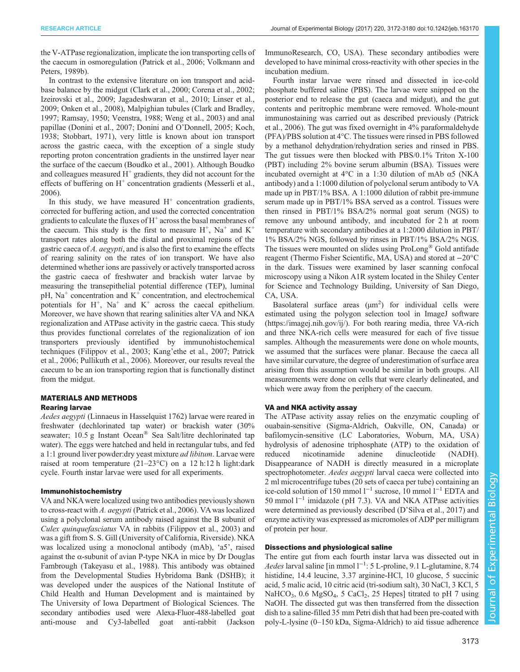the V-ATPase regionalization, implicate the ion transporting cells of the caecum in osmoregulation ([Patrick et al., 2006; Volkmann and](#page-8-0) [Peters, 1989b](#page-8-0)).

In contrast to the extensive literature on ion transport and acidbase balance by the midgut [\(Clark et al., 2000](#page-7-0); [Corena et al., 2002](#page-7-0); [Izeirovski et al., 2009](#page-8-0); [Jagadeshwaran et al., 2010](#page-8-0); [Linser et al.,](#page-8-0) [2009](#page-8-0); [Onken et al., 2008\)](#page-8-0), Malpighian tubules ([Clark and Bradley,](#page-7-0) [1997](#page-7-0); [Ramsay, 1950; Veenstra, 1988; Weng et al., 2003](#page-8-0)) and anal papillae ([Donini et al., 2007;](#page-7-0) Donini and O'[Donnell, 2005;](#page-7-0) [Koch,](#page-8-0) [1938](#page-8-0); [Stobbart, 1971\)](#page-8-0), very little is known about ion transport across the gastric caeca, with the exception of a single study reporting proton concentration gradients in the unstirred layer near the surface of the caecum ([Boudko et al., 2001](#page-7-0)). Although Boudko and colleagues measured  $H^+$  gradients, they did not account for the effects of buffering on  $H^+$  concentration gradients ([Messerli et al.,](#page-8-0) [2006](#page-8-0)).

In this study, we have measured  $H^+$  concentration gradients, corrected for buffering action, and used the corrected concentration gradients to calculate the fluxes of  $H^+$  across the basal membranes of the caecum. This study is the first to measure  $H^+$ , Na<sup>+</sup> and  $K^+$ transport rates along both the distal and proximal regions of the gastric caeca of A. aegypti, and is also the first to examine the effects of rearing salinity on the rates of ion transport. We have also determined whether ions are passively or actively transported across the gastric caeca of freshwater and brackish water larvae by measuring the transepithelial potential difference (TEP), luminal  $pH$ , Na<sup>+</sup> concentration and K<sup>+</sup> concentration, and electrochemical potentials for  $H^+$ ,  $Na^+$  and  $K^+$  across the caecal epithelium. Moreover, we have shown that rearing salinities alter VA and NKA regionalization and ATPase activity in the gastric caeca. This study thus provides functional correlates of the regionalization of ion transporters previously identified by immunohistochemical techniques ([Filippov et al., 2003](#page-7-0); Kang'[ethe et al., 2007; Patrick](#page-8-0) [et al., 2006; Pullikuth et al., 2006](#page-8-0)). Moreover, our results reveal the caecum to be an ion transporting region that is functionally distinct from the midgut.

# MATERIALS AND METHODS

## Rearing larvae

Aedes aegypti (Linnaeus in Hasselquist 1762) larvae were reared in freshwater (dechlorinated tap water) or brackish water (30% seawater; 10.5 g Instant Ocean<sup>®</sup> Sea Salt/litre dechlorinated tap water). The eggs were hatched and held in rectangular tubs, and fed a 1:1 ground liver powder:dry yeast mixture ad libitum. Larvae were raised at room temperature (21–23°C) on a 12 h:12 h light:dark cycle. Fourth instar larvae were used for all experiments.

## Immunohistochemistry

VA and NKA were localized using two antibodies previously shown to cross-react with A. aegypti [\(Patrick et al., 2006\)](#page-8-0). VA was localized using a polyclonal serum antibody raised against the B subunit of Culex quinquefasciatus VA in rabbits [\(Filippov et al., 2003\)](#page-7-0) and was a gift from S. S. Gill (University of California, Riverside). NKA was localized using a monoclonal antibody (mAb), 'a5', raised against the  $\alpha$ -subunit of avian P-type NKA in mice by Dr Douglas Fambrough [\(Takeyasu et al., 1988](#page-8-0)). This antibody was obtained from the Developmental Studies Hybridoma Bank (DSHB); it was developed under the auspices of the National Institute of Child Health and Human Development and is maintained by The University of Iowa Department of Biological Sciences. The secondary antibodies used were Alexa-Fluor-488-labelled goat anti-mouse and Cy3-labelled goat anti-rabbit (Jackson

ImmunoResearch, CO, USA). These secondary antibodies were developed to have minimal cross-reactivity with other species in the incubation medium.

Fourth instar larvae were rinsed and dissected in ice-cold phosphate buffered saline (PBS). The larvae were snipped on the posterior end to release the gut (caeca and midgut), and the gut contents and peritrophic membrane were removed. Whole-mount immunostaining was carried out as described previously ([Patrick](#page-8-0) [et al., 2006](#page-8-0)). The gut was fixed overnight in 4% paraformaldehyde (PFA)/PBS solution at 4°C. The tissues were rinsed in PBS followed by a methanol dehydration/rehydration series and rinsed in PBS. The gut tissues were then blocked with PBS/0.1% Triton X-100 (PBT) including 2% bovine serum albumin (BSA). Tissues were incubated overnight at 4°C in a 1:30 dilution of mAb α5 (NKA antibody) and a 1:1000 dilution of polyclonal serum antibody to VA made up in PBT/1% BSA. A 1:1000 dilution of rabbit pre-immune serum made up in PBT/1% BSA served as a control. Tissues were then rinsed in PBT/1% BSA/2% normal goat serum (NGS) to remove any unbound antibody, and incubated for 2 h at room temperature with secondary antibodies at a 1:2000 dilution in PBT/ 1% BSA/2% NGS, followed by rinses in PBT/1% BSA/2% NGS. The tissues were mounted on slides using ProLong® Gold antifade reagent (Thermo Fisher Scientific, MA, USA) and stored at −20°C in the dark. Tissues were examined by laser scanning confocal microscopy using a Nikon A1R system located in the Shiley Center for Science and Technology Building, University of San Diego, CA, USA.

Basolateral surface areas  $(\mu m^2)$  for individual cells were estimated using the polygon selection tool in ImageJ software [\(https://imagej.nih.gov/ij/\)](https://imagej.nih.gov/ij/). For both rearing media, three VA-rich and three NKA-rich cells were measured for each of five tissue samples. Although the measurements were done on whole mounts, we assumed that the surfaces were planar. Because the caeca all have similar curvature, the degree of underestimation of surface area arising from this assumption would be similar in both groups. All measurements were done on cells that were clearly delineated, and which were away from the periphery of the caecum.

### VA and NKA activity assay

The ATPase activity assay relies on the enzymatic coupling of ouabain-sensitive (Sigma-Aldrich, Oakville, ON, Canada) or bafilomycin-sensitive (LC Laboratories, Woburn, MA, USA) hydrolysis of adenosine triphosphate (ATP) to the oxidation of reduced nicotinamide adenine dinucleotide (NADH). Disappearance of NADH is directly measured in a microplate spectrophotometer. Aedes aegypti larval caeca were collected into 2 ml microcentrifuge tubes (20 sets of caeca per tube) containing an ice-cold solution of 150 mmol l−<sup>1</sup> sucrose, 10 mmol l−<sup>1</sup> EDTA and 50 mmol l−<sup>1</sup> imidazole ( pH 7.3). VA and NKA ATPase activities were determined as previously described (D'[Silva et al., 2017\)](#page-7-0) and enzyme activity was expressed as micromoles of ADP per milligram of protein per hour.

### Dissections and physiological saline

The entire gut from each fourth instar larva was dissected out in Aedes larval saline [in mmol l<sup>-1</sup>: 5 L-proline, 9.1 L-glutamine, 8.74 histidine, 14.4 leucine, 3.37 arginine-HCl, 10 glucose, 5 succinic acid, 5 malic acid, 10 citric acid (tri-sodium salt), 30 NaCl, 3 KCl, 5 NaHCO<sub>3</sub>, 0.6 MgSO<sub>4</sub>, 5 CaCl<sub>2</sub>, 25 Hepes] titrated to pH 7 using NaOH. The dissected gut was then transferred from the dissection dish to a saline-filled 35 mm Petri dish that had been pre-coated with poly-L-lysine (0–150 kDa, Sigma-Aldrich) to aid tissue adherence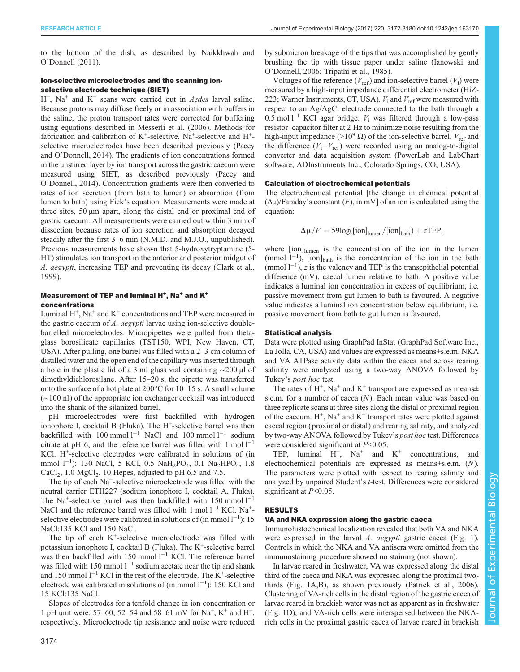to the bottom of the dish, as described by [Naikkhwah and](#page-8-0) O'[Donnell \(2011\)](#page-8-0).

## Ion-selective microelectrodes and the scanning ionselective electrode technique (SIET)

 $H^+$ , Na<sup>+</sup> and K<sup>+</sup> scans were carried out in *Aedes* larval saline. Because protons may diffuse freely or in association with buffers in the saline, the proton transport rates were corrected for buffering using equations described in [Messerli et al. \(2006\)](#page-8-0). Methods for fabrication and calibration of  $K^+$ -selective, Na<sup>+</sup>-selective and H<sup>+</sup>selective microelectrodes have been described previously [\(Pacey](#page-8-0) and O'[Donnell, 2014\)](#page-8-0). The gradients of ion concentrations formed in the unstirred layer by ion transport across the gastric caecum were measured using SIET, as described previously [\(Pacey and](#page-8-0) O'[Donnell, 2014](#page-8-0)). Concentration gradients were then converted to rates of ion secretion (from bath to lumen) or absorption (from lumen to bath) using Fick's equation. Measurements were made at three sites, 50 μm apart, along the distal end or proximal end of gastric caecum. All measurements were carried out within 3 min of dissection because rates of ion secretion and absorption decayed steadily after the first 3–6 min (N.M.D. and M.J.O., unpublished). Previous measurements have shown that 5-hydroxytryptamine (5- HT) stimulates ion transport in the anterior and posterior midgut of A. aegypti, increasing TEP and preventing its decay ([Clark et al.,](#page-7-0) [1999](#page-7-0)).

## Measurement of TEP and luminal  $H^+$ , Na<sup>+</sup> and  $K^+$ concentrations

Luminal  $H^+$ , Na<sup>+</sup> and  $K^+$  concentrations and TEP were measured in the gastric caecum of A. aegypti larvae using ion-selective doublebarrelled microelectrodes. Micropipettes were pulled from thetaglass borosilicate capillaries (TST150, WPI, New Haven, CT, USA). After pulling, one barrel was filled with a 2–3 cm column of distilled water and the open end of the capillary was inserted through a hole in the plastic lid of a 3 ml glass vial containing ∼200 µl of dimethyldichlorosilane. After 15–20 s, the pipette was transferred onto the surface of a hot plate at 200°C for 10–15 s. A small volume (∼100 nl) of the appropriate ion exchanger cocktail was introduced into the shank of the silanized barrel.

pH microelectrodes were first backfilled with hydrogen ionophore I, cocktail B (Fluka). The H<sup>+</sup>-selective barrel was then backfilled with 100 mmol  $l^{-1}$  NaCl and 100 mmol  $l^{-1}$  sodium citrate at pH 6, and the reference barrel was filled with 1 mol  $1^{-1}$ KCl.  $H^+$ -selective electrodes were calibrated in solutions of (in mmol 1<sup>-1</sup>): 130 NaCl, 5 KCl, 0.5 NaH<sub>2</sub>PO<sub>4</sub>, 0.1 Na<sub>2</sub>HPO<sub>4</sub>, 1.8  $CaCl<sub>2</sub>$ , 1.0 MgCl<sub>2</sub>, 10 Hepes, adjusted to pH 6.5 and 7.5.

The tip of each Na+-selective microelectrode was filled with the neutral carrier ETH227 (sodium ionophore I, cocktail A, Fluka). The Na<sup>+</sup>-selective barrel was then backfilled with 150 mmol  $l^{-1}$ NaCl and the reference barrel was filled with 1 mol l<sup>-1</sup> KCl. Na<sup>+</sup>selective electrodes were calibrated in solutions of (in mmol  $1^{-1}$ ): 15 NaCl:135 KCl and 150 NaCl.

The tip of each  $K^+$ -selective microelectrode was filled with potassium ionophore I, cocktail B (Fluka). The  $K^+$ -selective barrel was then backfilled with 150 mmol l<sup>-1</sup> KCl. The reference barrel was filled with 150 mmol  $l^{-1}$  sodium acetate near the tip and shank and 150 mmol  $l^{-1}$  KCl in the rest of the electrode. The K<sup>+</sup>-selective electrode was calibrated in solutions of (in mmol l<sup>-1</sup>): 150 KCl and 15 KCl:135 NaCl.

Slopes of electrodes for a tenfold change in ion concentration or 1 pH unit were: 57–60, 52–54 and 58–61 mV for Na<sup>+</sup>, K<sup>+</sup> and H<sup>+</sup>, respectively. Microelectrode tip resistance and noise were reduced by submicron breakage of the tips that was accomplished by gently brushing the tip with tissue paper under saline [\(Ianowski and](#page-8-0) O'[Donnell, 2006](#page-8-0); [Tripathi et al., 1985\)](#page-8-0).

Voltages of the reference  $(V_{ref})$  and ion-selective barrel  $(V_i)$  were measured by a high-input impedance differential electrometer (HiZ-223; Warner Instruments, CT, USA).  $V_i$  and  $V_{ref}$  were measured with respect to an Ag/AgCl electrode connected to the bath through a 0.5 mol  $l^{-1}$  KCl agar bridge.  $V_i$  was filtered through a low-pass resistor–capacitor filter at 2 Hz to minimize noise resulting from the high-input impedance (>10<sup>9</sup> Ω) of the ion-selective barrel.  $V_{ref}$  and the difference  $(V_i - V_{ref})$  were recorded using an analog-to-digital converter and data acquisition system (PowerLab and LabChart software; ADInstruments Inc., Colorado Springs, CO, USA).

#### Calculation of electrochemical potentials

The electrochemical potential [the change in chemical potential  $(\Delta \mu)$ /Faraday's constant (F), in mV] of an ion is calculated using the equation:

$$
\Delta \mu / F = 59 \log([ion]_{\text{lumen}} / [ion]_{\text{bath}}) + z \text{TEP},
$$

where [ion]<sub>lumen</sub> is the concentration of the ion in the lumen (mmol l−<sup>1</sup> ), [ion]bath is the concentration of the ion in the bath (mmol l−<sup>1</sup> ), z is the valency and TEP is the transepithelial potential difference (mV), caecal lumen relative to bath. A positive value indicates a luminal ion concentration in excess of equilibrium, i.e. passive movement from gut lumen to bath is favoured. A negative value indicates a luminal ion concentration below equilibrium, i.e. passive movement from bath to gut lumen is favoured.

#### Statistical analysis

Data were plotted using GraphPad InStat (GraphPad Software Inc., La Jolla, CA, USA) and values are expressed as means±s.e.m. NKA and VA ATPase activity data within the caeca and across rearing salinity were analyzed using a two-way ANOVA followed by Tukey's post hoc test.

The rates of  $H^+$ , Na<sup>+</sup> and K<sup>+</sup> transport are expressed as means $\pm$ s.e.m. for a number of caeca  $(N)$ . Each mean value was based on three replicate scans at three sites along the distal or proximal region of the caecum.  $H^+$ , Na<sup>+</sup> and K<sup>+</sup> transport rates were plotted against caecal region ( proximal or distal) and rearing salinity, and analyzed by two-way ANOVA followed by Tukey's post hoc test. Differences were considered significant at  $P<0.05$ .

TEP, luminal  $H^+$ ,  $Na^+$  and  $K^+$  concentrations, and electrochemical potentials are expressed as means±s.e.m. (N). The parameters were plotted with respect to rearing salinity and analyzed by unpaired Student's t-test. Differences were considered significant at  $P<0.05$ .

#### RESULTS

### VA and NKA expression along the gastric caeca

Immunohistochemical localization revealed that both VA and NKA were expressed in the larval A. aegypti gastric caeca [\(Fig. 1\)](#page-3-0). Controls in which the NKA and VA antisera were omitted from the immunostaining procedure showed no staining (not shown).

In larvae reared in freshwater, VA was expressed along the distal third of the caeca and NKA was expressed along the proximal twothirds [\(Fig. 1A](#page-3-0),B), as shown previously ([Patrick et al., 2006\)](#page-8-0). Clustering of VA-rich cells in the distal region of the gastric caeca of larvae reared in brackish water was not as apparent as in freshwater [\(Fig. 1D](#page-3-0)), and VA-rich cells were interspersed between the NKArich cells in the proximal gastric caeca of larvae reared in brackish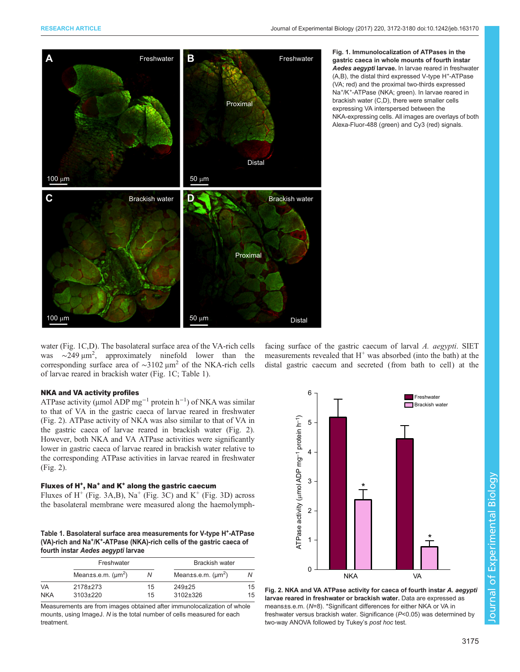<span id="page-3-0"></span>

Fig. 1. Immunolocalization of ATPases in the gastric caeca in whole mounts of fourth instar Aedes aegypti larvae. In larvae reared in freshwater (A,B), the distal third expressed V-type H<sup>+</sup>-ATPase (VA; red) and the proximal two-thirds expressed Na+/K+-ATPase (NKA; green). In larvae reared in brackish water (C,D), there were smaller cells expressing VA interspersed between the NKA-expressing cells. All images are overlays of both Alexa-Fluor-488 (green) and Cy3 (red) signals.

water (Fig. 1C,D). The basolateral surface area of the VA-rich cells was  $\sim$ 249  $\mu$ m<sup>2</sup>, approximately ninefold lower than the corresponding surface area of  $\sim$ 3102 μm<sup>2</sup> of the NKA-rich cells of larvae reared in brackish water (Fig. 1C; Table 1).

## NKA and VA activity profiles

ATPase activity (µmol ADP mg<sup>-1</sup> protein  $h^{-1}$ ) of NKA was similar to that of VA in the gastric caeca of larvae reared in freshwater (Fig. 2). ATPase activity of NKA was also similar to that of VA in the gastric caeca of larvae reared in brackish water (Fig. 2). However, both NKA and VA ATPase activities were significantly lower in gastric caeca of larvae reared in brackish water relative to the corresponding ATPase activities in larvae reared in freshwater (Fig. 2).

### Fluxes of  $H^+$ , Na<sup>+</sup> and  $K^+$  along the gastric caecum

Fluxes of  $H^+$  [\(Fig. 3A](#page-4-0),B), Na<sup>+</sup> [\(Fig. 3C](#page-4-0)) and  $K^+$  [\(Fig. 3D](#page-4-0)) across the basolateral membrane were measured along the haemolymph-

Table 1. Basolateral surface area measurements for V-type H+-ATPase (VA)-rich and Na+/K+-ATPase (NKA)-rich cells of the gastric caeca of fourth instar Aedes aegypti larvae

|            | Freshwater                                 |    | <b>Brackish water</b>                      |    |
|------------|--------------------------------------------|----|--------------------------------------------|----|
|            | Mean $\pm$ s.e.m. ( $\mu$ m <sup>2</sup> ) | N  | Mean $\pm$ s.e.m. ( $\mu$ m <sup>2</sup> ) | Ν  |
| <b>VA</b>  | 2178±273                                   | 15 | $249+25$                                   | 15 |
| <b>NKA</b> | 3103±220                                   | 15 | 3102±326                                   | 15 |

Measurements are from images obtained after immunolocalization of whole mounts, using ImageJ. N is the total number of cells measured for each treatment.



Fig. 2. NKA and VA ATPase activity for caeca of fourth instar A. aegypti larvae reared in freshwater or brackish water. Data are expressed as means±s.e.m. (N=8). \*Significant differences for either NKA or VA in freshwater versus brackish water. Significance (P<0.05) was determined by two-way ANOVA followed by Tukey's post hoc test.

facing surface of the gastric caecum of larval A. aegypti. SIET measurements revealed that  $H^+$  was absorbed (into the bath) at the distal gastric caecum and secreted (from bath to cell) at the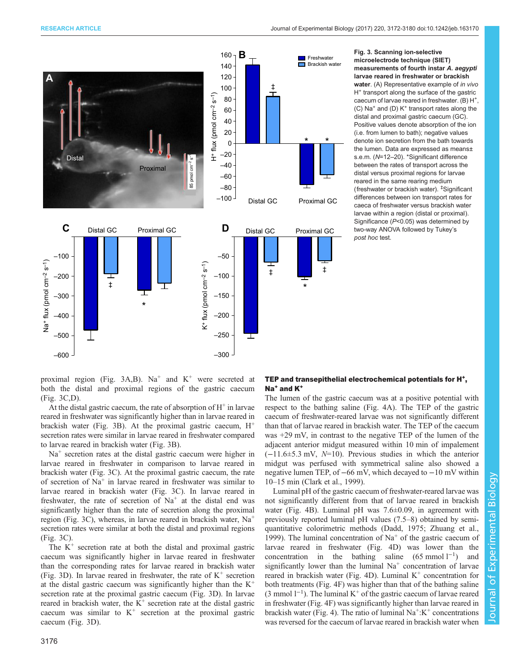<span id="page-4-0"></span>

**B** Fig. 3. Scanning ion-selective microelectrode technique (SIET) measurements of fourth instar A. aegypti larvae reared in freshwater or brackish water. (A) Representative example of in vivo H<sup>+</sup> transport along the surface of the gastric caecum of larvae reared in freshwater. (B) H<sup>+</sup>, (C) Na+ and (D) K+ transport rates along the distal and proximal gastric caecum (GC). Positive values denote absorption of the ion (i.e. from lumen to bath); negative values denote ion secretion from the bath towards the lumen. Data are expressed as means± s.e.m. (N=12–20). \*Significant difference between the rates of transport across the distal versus proximal regions for larvae reared in the same rearing medium (freshwater or brackish water). ‡Significant differences between ion transport rates for caeca of freshwater versus brackish water larvae within a region (distal or proximal). Significance (P<0.05) was determined by two-way ANOVA followed by Tukey's post hoc test.

proximal region (Fig. 3A,B). Na<sup>+</sup> and  $K^+$  were secreted at both the distal and proximal regions of the gastric caecum (Fig. 3C,D).

At the distal gastric caecum, the rate of absorption of  $H^+$  in larvae reared in freshwater was significantly higher than in larvae reared in brackish water (Fig. 3B). At the proximal gastric caecum,  $H^+$ secretion rates were similar in larvae reared in freshwater compared to larvae reared in brackish water (Fig. 3B).

 $Na<sup>+</sup>$  secretion rates at the distal gastric caecum were higher in larvae reared in freshwater in comparison to larvae reared in brackish water (Fig. 3C). At the proximal gastric caecum, the rate of secretion of  $Na<sup>+</sup>$  in larvae reared in freshwater was similar to larvae reared in brackish water (Fig. 3C). In larvae reared in freshwater, the rate of secretion of  $Na<sup>+</sup>$  at the distal end was significantly higher than the rate of secretion along the proximal region (Fig. 3C), whereas, in larvae reared in brackish water, Na<sup>+</sup> secretion rates were similar at both the distal and proximal regions (Fig. 3C).

The  $K^+$  secretion rate at both the distal and proximal gastric caecum was significantly higher in larvae reared in freshwater than the corresponding rates for larvae reared in brackish water (Fig. 3D). In larvae reared in freshwater, the rate of  $K^+$  secretion at the distal gastric caecum was significantly higher than the  $K^+$ secretion rate at the proximal gastric caecum (Fig. 3D). In larvae reared in brackish water, the  $K^+$  secretion rate at the distal gastric caecum was similar to  $K^+$  secretion at the proximal gastric caecum (Fig. 3D).

#### TEP and transepithelial electrochemical potentials for H<sup>+</sup>, Na<sup>+</sup> and K<sup>+</sup>

The lumen of the gastric caecum was at a positive potential with respect to the bathing saline [\(Fig. 4](#page-5-0)A). The TEP of the gastric caecum of freshwater-reared larvae was not significantly different than that of larvae reared in brackish water. The TEP of the caecum was +29 mV, in contrast to the negative TEP of the lumen of the adjacent anterior midgut measured within 10 min of impalement  $(-11.6\pm5.3 \text{ mV}, N=10)$ . Previous studies in which the anterior midgut was perfused with symmetrical saline also showed a negative lumen TEP, of −66 mV, which decayed to −10 mV within 10–15 min ([Clark et al., 1999\)](#page-7-0).

Luminal pH of the gastric caecum of freshwater-reared larvae was not significantly different from that of larvae reared in brackish water ([Fig. 4](#page-5-0)B). Luminal pH was  $7.6\pm0.09$ , in agreement with previously reported luminal pH values (7.5–8) obtained by semiquantitative colorimetric methods [\(Dadd, 1975](#page-7-0); [Zhuang et al.,](#page-8-0) [1999\)](#page-8-0). The luminal concentration of  $Na<sup>+</sup>$  of the gastric caecum of larvae reared in freshwater ([Fig. 4](#page-5-0)D) was lower than the concentration in the bathing saline  $(65 \text{ mmol } 1^{-1})$  and significantly lower than the luminal  $Na<sup>+</sup>$  concentration of larvae reared in brackish water ([Fig. 4D](#page-5-0)). Luminal  $K^+$  concentration for both treatments ([Fig. 4F](#page-5-0)) was higher than that of the bathing saline (3 mmol l−<sup>1</sup> ). The luminal K<sup>+</sup> of the gastric caecum of larvae reared in freshwater [\(Fig. 4F](#page-5-0)) was significantly higher than larvae reared in brackish water ([Fig. 4\)](#page-5-0). The ratio of luminal  $Na^+K^+$  concentrations was reversed for the caecum of larvae reared in brackish water when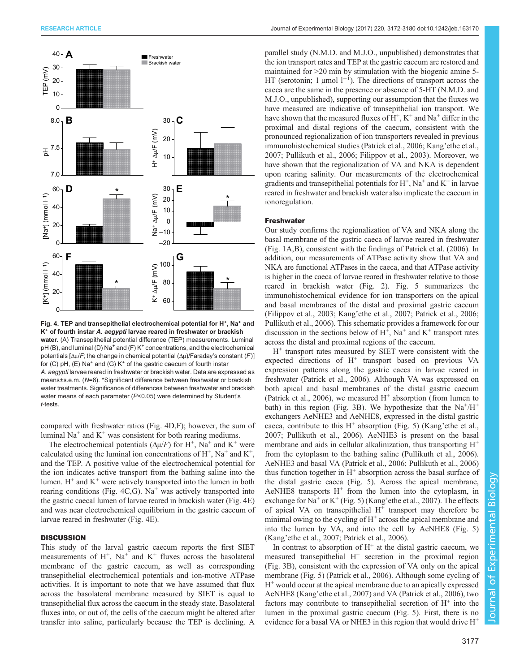<span id="page-5-0"></span>

Fig. 4. TEP and transepithelial electrochemical potential for H<sup>+</sup>, Na<sup>+</sup> and K<sup>+</sup> of fourth instar A. aegypti larvae reared in freshwater or brackish water. (A) Transepithelial potential difference (TEP) measurements. Luminal pH (B), and luminal (D) Na<sup>+</sup> and (F) K<sup>+</sup> concentrations, and the electrochemical potentials  $[\Delta \mu / F;$  the change in chemical potential  $(\Delta \mu)$ /Faraday's constant (F)] for (C) pH, (E)  $Na^+$  and (G)  $K^+$  of the gastric caecum of fourth instar A. aegypti larvae reared in freshwater or brackish water. Data are expressed as means±s.e.m. (N=8). \*Significant difference between freshwater or brackish water treatments. Significance of differences between freshwater and brackish water means of each parameter  $(P<0.05)$  were determined by Student's t-tests.

compared with freshwater ratios (Fig. 4D,F); however, the sum of luminal  $Na<sup>+</sup>$  and  $K<sup>+</sup>$  was consistent for both rearing mediums.

The electrochemical potentials  $(\Delta \mu / F)$  for H<sup>+</sup>, Na<sup>+</sup> and K<sup>+</sup> were calculated using the luminal ion concentrations of  $H^+$ , Na<sup>+</sup> and K<sup>+</sup>, and the TEP. A positive value of the electrochemical potential for the ion indicates active transport from the bathing saline into the lumen.  $H^+$  and  $K^+$  were actively transported into the lumen in both rearing conditions (Fig. 4C,G).  $Na<sup>+</sup>$  was actively transported into the gastric caecal lumen of larvae reared in brackish water (Fig. 4E) and was near electrochemical equilibrium in the gastric caecum of larvae reared in freshwater (Fig. 4E).

### **DISCUSSION**

This study of the larval gastric caecum reports the first SIET measurements of  $H^+$ , Na<sup>+</sup> and K<sup>+</sup> fluxes across the basolateral membrane of the gastric caecum, as well as corresponding transepithelial electrochemical potentials and ion-motive ATPase activities. It is important to note that we have assumed that flux across the basolateral membrane measured by SIET is equal to transepithelial flux across the caecum in the steady state. Basolateral fluxes into, or out of, the cells of the caecum might be altered after transfer into saline, particularly because the TEP is declining. A

parallel study (N.M.D. and M.J.O., unpublished) demonstrates that the ion transport rates and TEP at the gastric caecum are restored and maintained for >20 min by stimulation with the biogenic amine 5- HT (serotonin; 1 μmol  $1^{-1}$ ). The directions of transport across the caeca are the same in the presence or absence of 5-HT (N.M.D. and M.J.O., unpublished), supporting our assumption that the fluxes we have measured are indicative of transepithelial ion transport. We have shown that the measured fluxes of  $H^+$ ,  $K^+$  and  $Na^+$  differ in the proximal and distal regions of the caecum, consistent with the pronounced regionalization of ion transporters revealed in previous immunohistochemical studies ([Patrick et al., 2006;](#page-8-0) Kang'[ethe et al.,](#page-8-0) [2007; Pullikuth et al., 2006](#page-8-0); [Filippov et al., 2003](#page-7-0)). Moreover, we have shown that the regionalization of VA and NKA is dependent upon rearing salinity. Our measurements of the electrochemical gradients and transepithelial potentials for  $H^+$ , Na<sup>+</sup> and K<sup>+</sup> in larvae reared in freshwater and brackish water also implicate the caecum in ionoregulation.

#### Freshwater

Our study confirms the regionalization of VA and NKA along the basal membrane of the gastric caeca of larvae reared in freshwater [\(Fig. 1](#page-3-0)A,B), consistent with the findings of [Patrick et al. \(2006\)](#page-8-0). In addition, our measurements of ATPase activity show that VA and NKA are functional ATPases in the caeca, and that ATPase activity is higher in the caeca of larvae reared in freshwater relative to those reared in brackish water ([Fig. 2](#page-3-0)). [Fig. 5](#page-6-0) summarizes the immunohistochemical evidence for ion transporters on the apical and basal membranes of the distal and proximal gastric caecum [\(Filippov et al., 2003;](#page-7-0) Kang'[ethe et al., 2007; Patrick et al., 2006](#page-8-0); [Pullikuth et al., 2006\)](#page-8-0). This schematic provides a framework for our discussion in the sections below of  $H^+$ , Na<sup>+</sup> and K<sup>+</sup> transport rates across the distal and proximal regions of the caecum.

 $H<sup>+</sup>$  transport rates measured by SIET were consistent with the expected directions of  $H^+$  transport based on previous VA expression patterns along the gastric caeca in larvae reared in freshwater ([Patrick et al., 2006\).](#page-8-0) Although VA was expressed on both apical and basal membranes of the distal gastric caecum [\(Patrick et al., 2006](#page-8-0)), we measured  $H^+$  absorption (from lumen to bath) in this region ([Fig. 3B](#page-4-0)). We hypothesize that the  $Na^+/H^+$ exchangers AeNHE3 and AeNHE8, expressed in the distal gastric caeca, contribute to this  $H^+$  absorption ([Fig. 5\)](#page-6-0) (Kang'[ethe et al.,](#page-8-0) [2007; Pullikuth et al., 2006](#page-8-0)). AeNHE3 is present on the basal membrane and aids in cellular alkalinization, thus transporting  $H^+$ from the cytoplasm to the bathing saline [\(Pullikuth et al., 2006\)](#page-8-0). AeNHE3 and basal VA [\(Patrick et al., 2006; Pullikuth et al., 2006\)](#page-8-0) thus function together in  $H^+$  absorption across the basal surface of the distal gastric caeca [\(Fig. 5\)](#page-6-0). Across the apical membrane, AeNHE8 transports  $H^+$  from the lumen into the cytoplasm, in exchange for Na<sup>+</sup> or K<sup>+</sup> [\(Fig. 5\)](#page-6-0) (Kang'[ethe et al., 2007](#page-8-0)). The effects of apical VA on transepithelial  $H^+$  transport may therefore be minimal owing to the cycling of  $H<sup>+</sup>$  across the apical membrane and into the lumen by VA, and into the cell by AeNHE8 ([Fig. 5\)](#page-6-0) (Kang'[ethe et al., 2007; Patrick et al., 2006](#page-8-0)).

In contrast to absorption of  $H<sup>+</sup>$  at the distal gastric caecum, we measured transepithelial  $H^+$  secretion in the proximal region [\(Fig. 3B](#page-4-0)), consistent with the expression of VA only on the apical membrane ([Fig. 5](#page-6-0)) ([Patrick et al., 2006\)](#page-8-0). Although some cycling of  $H<sup>+</sup>$  would occur at the apical membrane due to an apically expressed AeNHE8 (Kang'[ethe et al., 2007\)](#page-8-0) and VA [\(Patrick et al., 2006](#page-8-0)), two factors may contribute to transepithelial secretion of  $H^+$  into the lumen in the proximal gastric caecum ([Fig. 5](#page-6-0)). First, there is no evidence for a basal VA or NHE3 in this region that would drive  $H^+$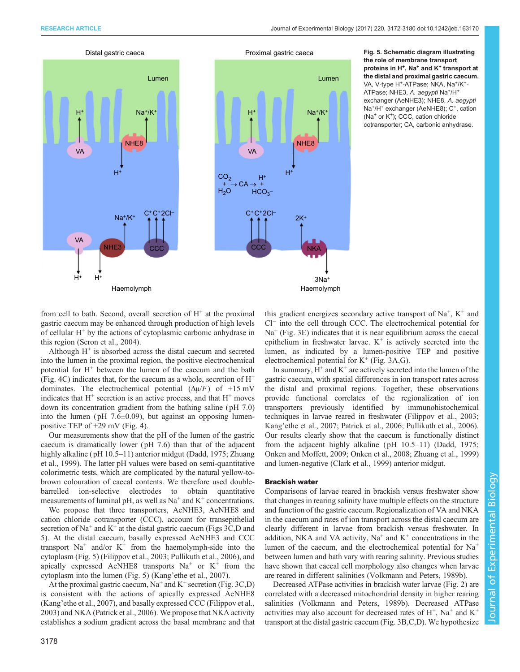<span id="page-6-0"></span>

Fig. 5. Schematic diagram illustrating the role of membrane transport proteins in H<sup>+</sup>, Na<sup>+</sup> and K<sup>+</sup> transport at the distal and proximal gastric caecum. VA, V-type H<sup>+</sup>-ATPase; NKA, Na<sup>+</sup>/K<sup>+</sup>-ATPase; NHE3, A. aegypti Na<sup>+</sup>/H<sup>+</sup> exchanger (AeNHE3); NHE8, A. aegypti Na<sup>+</sup>/H<sup>+</sup> exchanger (AeNHE8); C<sup>+</sup>, cation (Na<sup>+</sup> or K+); CCC, cation chloride cotransporter; CA, carbonic anhydrase.

from cell to bath. Second, overall secretion of  $H^+$  at the proximal gastric caecum may be enhanced through production of high levels of cellular  $H^+$  by the actions of cytoplasmic carbonic anhydrase in this region ([Seron et al., 2004\)](#page-8-0).

Although  $H^+$  is absorbed across the distal caecum and secreted into the lumen in the proximal region, the positive electrochemical potential for  $H^+$  between the lumen of the caecum and the bath [\(Fig. 4](#page-5-0)C) indicates that, for the caecum as a whole, secretion of  $H^+$ dominates. The electrochemical potential  $(\Delta \mu / F)$  of +15 mV indicates that  $H^+$  secretion is an active process, and that  $H^+$  moves down its concentration gradient from the bathing saline ( pH 7.0) into the lumen ( $pH$  7.6 $\pm$ 0.09), but against an opposing lumenpositive TEP of +29 mV [\(Fig. 4\)](#page-5-0).

Our measurements show that the pH of the lumen of the gastric caecum is dramatically lower ( pH 7.6) than that of the adjacent highly alkaline (pH 10.5–11) anterior midgut ([Dadd, 1975;](#page-7-0) [Zhuang](#page-8-0) [et al., 1999\)](#page-8-0). The latter pH values were based on semi-quantitative colorimetric tests, which are complicated by the natural yellow-tobrown colouration of caecal contents. We therefore used doublebarrelled ion-selective electrodes to obtain quantitative measurements of luminal pH, as well as  $Na^+$  and  $K^+$  concentrations.

We propose that three transporters, AeNHE3, AeNHE8 and cation chloride cotransporter (CCC), account for transepithelial secretion of  $Na<sup>+</sup>$  and  $K<sup>+</sup>$  at the distal gastric caecum [\(Figs 3C](#page-4-0),D and 5). At the distal caecum, basally expressed AeNHE3 and CCC transport  $Na^+$  and/or  $K^+$  from the haemolymph-side into the cytoplasm (Fig. 5) ([Filippov et al., 2003](#page-7-0); [Pullikuth et al., 2006\)](#page-8-0), and apically expressed AeNHE8 transports  $Na<sup>+</sup>$  or  $K<sup>+</sup>$  from the cytoplasm into the lumen (Fig. 5) (Kang'[ethe et al., 2007\)](#page-8-0).

At the proximal gastric caecum,  $Na<sup>+</sup>$  and  $K<sup>+</sup>$  secretion ([Fig. 3](#page-4-0)C,D) is consistent with the actions of apically expressed AeNHE8 (Kang'[ethe et al., 2007](#page-8-0)), and basally expressed CCC ([Filippov et al.,](#page-7-0) [2003](#page-7-0)) and NKA ([Patrick et al., 2006](#page-8-0)). We propose that NKA activity establishes a sodium gradient across the basal membrane and that this gradient energizes secondary active transport of  $Na<sup>+</sup>$ ,  $K<sup>+</sup>$  and Cl<sup>−</sup> into the cell through CCC. The electrochemical potential for  $Na<sup>+</sup>$  ([Fig. 3](#page-4-0)E) indicates that it is near equilibrium across the caecal epithelium in freshwater larvae.  $K^+$  is actively secreted into the lumen, as indicated by a lumen-positive TEP and positive electrochemical potential for  $K^+$  ([Fig. 3A](#page-4-0),G).

In summary,  $H^+$  and  $K^+$  are actively secreted into the lumen of the gastric caecum, with spatial differences in ion transport rates across the distal and proximal regions. Together, these observations provide functional correlates of the regionalization of ion transporters previously identified by immunohistochemical techniques in larvae reared in freshwater ([Filippov et al., 2003](#page-7-0); Kang'[ethe et al., 2007; Patrick et al., 2006](#page-8-0); [Pullikuth et al., 2006\)](#page-8-0). Our results clearly show that the caecum is functionally distinct from the adjacent highly alkaline (pH 10.5–11) [\(Dadd, 1975](#page-7-0); [Onken and Moffett, 2009; Onken et al., 2008; Zhuang et al., 1999\)](#page-8-0) and lumen-negative [\(Clark et al., 1999](#page-7-0)) anterior midgut.

#### Brackish water

Comparisons of larvae reared in brackish versus freshwater show that changes in rearing salinity have multiple effects on the structure and function of the gastric caecum. Regionalization of VA and NKA in the caecum and rates of ion transport across the distal caecum are clearly different in larvae from brackish versus freshwater. In addition, NKA and VA activity,  $Na<sup>+</sup>$  and  $K<sup>+</sup>$  concentrations in the lumen of the caecum, and the electrochemical potential for Na<sup>+</sup> between lumen and bath vary with rearing salinity. Previous studies have shown that caecal cell morphology also changes when larvae are reared in different salinities [\(Volkmann and Peters, 1989b](#page-8-0)).

Decreased ATPase activities in brackish water larvae [\(Fig. 2](#page-3-0)) are correlated with a decreased mitochondrial density in higher rearing salinities [\(Volkmann and Peters, 1989b](#page-8-0)). Decreased ATPase activities may also account for decreased rates of  $H^+$ , Na<sup>+</sup> and K<sup>+</sup> transport at the distal gastric caecum [\(Fig. 3B](#page-4-0),C,D). We hypothesize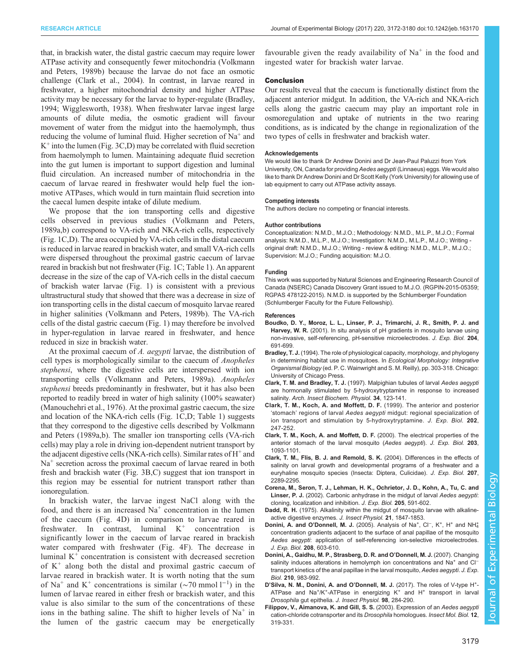<span id="page-7-0"></span>that, in brackish water, the distal gastric caecum may require lower ATPase activity and consequently fewer mitochondria [\(Volkmann](#page-8-0) [and Peters, 1989b\)](#page-8-0) because the larvae do not face an osmotic challenge (Clark et al., 2004). In contrast, in larvae reared in freshwater, a higher mitochondrial density and higher ATPase activity may be necessary for the larvae to hyper-regulate (Bradley, 1994; [Wigglesworth, 1938](#page-8-0)). When freshwater larvae ingest large amounts of dilute media, the osmotic gradient will favour movement of water from the midgut into the haemolymph, thus reducing the volume of luminal fluid. Higher secretion of  $Na<sup>+</sup>$  and  $K^+$  into the lumen ([Fig. 3](#page-4-0)C,D) may be correlated with fluid secretion from haemolymph to lumen. Maintaining adequate fluid secretion into the gut lumen is important to support digestion and luminal fluid circulation. An increased number of mitochondria in the caecum of larvae reared in freshwater would help fuel the ionmotive ATPases, which would in turn maintain fluid secretion into the caecal lumen despite intake of dilute medium.

We propose that the ion transporting cells and digestive cells observed in previous studies [\(Volkmann and Peters,](#page-8-0) [1989a](#page-8-0),[b](#page-8-0)) correspond to VA-rich and NKA-rich cells, respectively [\(Fig. 1C](#page-3-0),D). The area occupied by VA-rich cells in the distal caecum is reduced in larvae reared in brackish water, and small VA-rich cells were dispersed throughout the proximal gastric caecum of larvae reared in brackish but not freshwater ([Fig. 1C](#page-3-0); [Table 1](#page-3-0)). An apparent decrease in the size of the cap of VA-rich cells in the distal caecum of brackish water larvae [\(Fig. 1\)](#page-3-0) is consistent with a previous ultrastructural study that showed that there was a decrease in size of ion transporting cells in the distal caecum of mosquito larvae reared in higher salinities ([Volkmann and Peters, 1989b](#page-8-0)). The VA-rich cells of the distal gastric caecum ([Fig. 1\)](#page-3-0) may therefore be involved in hyper-regulation in larvae reared in freshwater, and hence reduced in size in brackish water.

At the proximal caecum of A. aegypti larvae, the distribution of cell types is morphologically similar to the caecum of Anopheles stephensi, where the digestive cells are interspersed with ion transporting cells ([Volkmann and Peters, 1989a\)](#page-8-0). Anopheles stephensi breeds predominantly in freshwater, but it has also been reported to readily breed in water of high salinity (100% seawater) [\(Manouchehri et al., 1976](#page-8-0)). At the proximal gastric caecum, the size and location of the NKA-rich cells ([Fig. 1](#page-3-0)C,D; [Table 1\)](#page-3-0) suggests that they correspond to the digestive cells described by [Volkmann](#page-8-0) [and Peters \(1989a](#page-8-0),[b](#page-8-0)). The smaller ion transporting cells (VA-rich cells) may play a role in driving ion-dependent nutrient transport by the adjacent digestive cells (NKA-rich cells). Similar rates of  $H<sup>+</sup>$  and Na<sup>+</sup> secretion across the proximal caecum of larvae reared in both fresh and brackish water [\(Fig. 3](#page-4-0)B,C) suggest that ion transport in this region may be essential for nutrient transport rather than ionoregulation.

In brackish water, the larvae ingest NaCl along with the food, and there is an increased  $Na<sup>+</sup>$  concentration in the lumen of the caecum ([Fig. 4](#page-5-0)D) in comparison to larvae reared in freshwater. In contrast, luminal  $K^+$  concentration is significantly lower in the caecum of larvae reared in brackish water compared with freshwater [\(Fig. 4](#page-5-0)F). The decrease in luminal  $K<sup>+</sup>$  concentration is consistent with decreased secretion of  $K^+$  along both the distal and proximal gastric caecum of larvae reared in brackish water. It is worth noting that the sum of Na<sup>+</sup> and K<sup>+</sup> concentrations is similar (~70 mmol l<sup>-1</sup>) in the lumen of larvae reared in either fresh or brackish water, and this value is also similar to the sum of the concentrations of these ions in the bathing saline. The shift to higher levels of  $Na<sup>+</sup>$  in the lumen of the gastric caecum may be energetically

favourable given the ready availability of  $Na<sup>+</sup>$  in the food and ingested water for brackish water larvae.

#### Conclusion

Our results reveal that the caecum is functionally distinct from the adjacent anterior midgut. In addition, the VA-rich and NKA-rich cells along the gastric caecum may play an important role in osmoregulation and uptake of nutrients in the two rearing conditions, as is indicated by the change in regionalization of the two types of cells in freshwater and brackish water.

#### Acknowledgements

We would like to thank Dr Andrew Donini and Dr Jean-Paul Paluzzi from York University, ON, Canada for providing Aedes aegypti (Linnaeus) eggs. We would also like to thank Dr Andrew Donini and Dr Scott Kelly (York University) for allowing use of lab equipment to carry out ATPase activity assays.

#### Competing interests

The authors declare no competing or financial interests.

#### Author contributions

Conceptualization: N.M.D., M.J.O.; Methodology: N.M.D., M.L.P., M.J.O.; Formal analysis: N.M.D., M.L.P., M.J.O.; Investigation: N.M.D., M.L.P., M.J.O.; Writing original draft: N.M.D., M.J.O.; Writing - review & editing: N.M.D., M.L.P., M.J.O.; Supervision: M.J.O.; Funding acquisition: M.J.O.

#### Funding

This work was supported by Natural Sciences and Engineering Research Council of Canada (NSERC) Canada Discovery Grant issued to M.J.O. (RGPIN-2015-05359; RGPAS 478122-2015). N.M.D. is supported by the Schlumberger Foundation (Schlumberger Faculty for the Future Fellowship).

#### References

- Boudko, D. Y., Moroz, L. L., Linser, P. J., Trimarchi, J. R., Smith, P. J. and Harvey, W. R. (2001). In situ analysis of pH gradients in mosquito larvae using non-invasive, self-referencing, pH-sensitive microelectrodes. J. Exp. Biol. 204, 691-699.
- Bradley, T. J. (1994). The role of physiological capacity, morphology, and phylogeny in determining habitat use in mosquitoes. In Ecological Morphology: Integrative Organismal Biology (ed. P. C. Wainwright and S. M. Reilly), pp. 303-318. Chicago: University of Chicago Press.
- Clark, T. M. and Bradley, T. J. [\(1997\). Malpighian tubules of larval](http://dx.doi.org/10.1002/(SICI)1520-6327(1997)34:2%3C123::AID-ARCH1%3E3.0.CO;2-Y) Aedes aegypti [are hormonally stimulated by 5-hydroxytryptamine in response to increased](http://dx.doi.org/10.1002/(SICI)1520-6327(1997)34:2%3C123::AID-ARCH1%3E3.0.CO;2-Y) salinity. [Arch. Insect Biochem. Physiol.](http://dx.doi.org/10.1002/(SICI)1520-6327(1997)34:2%3C123::AID-ARCH1%3E3.0.CO;2-Y) 34, 123-141.
- Clark, T. M., Koch, A. and Moffett, D. F. (1999). The anterior and posterior 'stomach' regions of larval Aedes aegypti midgut: regional specialization of ion transport and stimulation by 5-hydroxytryptamine. J. Exp. Biol. 202, 247-252.
- Clark, T. M., Koch, A. and Moffett, D. F. (2000). The electrical properties of the anterior stomach of the larval mosquito (Aedes aegypti). J. Exp. Biol. 203, 1093-1101.
- [Clark, T. M., Flis, B. J. and Remold, S. K.](http://dx.doi.org/10.1242/jeb.01018) (2004). Differences in the effects of [salinity on larval growth and developmental programs of a freshwater and a](http://dx.doi.org/10.1242/jeb.01018) [euryhaline mosquito species \(Insecta: Diptera, Culicidae\).](http://dx.doi.org/10.1242/jeb.01018) J. Exp. Biol. 207, [2289-2295.](http://dx.doi.org/10.1242/jeb.01018)
- Corena, M., Seron, T. J., Lehman, H. K., Ochrietor, J. D., Kohn, A., Tu, C. and Linser, P. J. (2002). Carbonic anhydrase in the midgut of larval Aedes aegypti: cloning, localization and inhibition. J. Exp. Biol. 205, 591-602.
- Dadd, R. H. [\(1975\). Alkalinity within the midgut of mosquito larvae with alkaline](http://dx.doi.org/10.1016/0022-1910(75)90252-8)[active digestive enzymes.](http://dx.doi.org/10.1016/0022-1910(75)90252-8) J. Insect Physiol. 21, 1847-1853.
- Donini, A. and O'Donnell, M. J. [\(2005\).](http://dx.doi.org/10.1242/jeb.01422) [Analysis](http://dx.doi.org/10.1242/jeb.01422) [of](http://dx.doi.org/10.1242/jeb.01422) [Na](http://dx.doi.org/10.1242/jeb.01422)<sup>+</sup>[,](http://dx.doi.org/10.1242/jeb.01422) [Cl](http://dx.doi.org/10.1242/jeb.01422)<sup>-</sup>, K<sup>[+](http://dx.doi.org/10.1242/jeb.01422)</sup>, H<sup>+</sup> and NH<sub>4</sub> [concentration gradients adjacent to the surface of anal papillae of the mosquito](http://dx.doi.org/10.1242/jeb.01422) Aedes aegypti[: application of self-referencing ion-selective microelectrodes.](http://dx.doi.org/10.1242/jeb.01422) [J. Exp. Biol.](http://dx.doi.org/10.1242/jeb.01422) 208, 603-610.
- [Donini, A., Gaidhu, M. P., Strasberg, D. R. and O](http://dx.doi.org/10.1242/jeb.02732)'Donnell, M. J. (2007). Changing [salinity induces alterations in hemolymph ion concentrations and Na](http://dx.doi.org/10.1242/jeb.02732)<sup>+</sup> [and Cl](http://dx.doi.org/10.1242/jeb.02732)<sup>−</sup> [transport kinetics of the anal papillae in the larval mosquito,](http://dx.doi.org/10.1242/jeb.02732) Aedes aegypti. J. Exp. Biol. 210[, 983-992.](http://dx.doi.org/10.1242/jeb.02732)
- D'[Silva,](http://dx.doi.org/10.1016/j.jinsphys.2017.01.019) [N.](http://dx.doi.org/10.1016/j.jinsphys.2017.01.019) [M.,](http://dx.doi.org/10.1016/j.jinsphys.2017.01.019) [Donini,](http://dx.doi.org/10.1016/j.jinsphys.2017.01.019) [A.](http://dx.doi.org/10.1016/j.jinsphys.2017.01.019) [and](http://dx.doi.org/10.1016/j.jinsphys.2017.01.019) [O](http://dx.doi.org/10.1016/j.jinsphys.2017.01.019)'Donnell, M. J. (2017). The roles of V[-](http://dx.doi.org/10.1016/j.jinsphys.2017.01.019)type H<sup>+</sup>-[ATPase](http://dx.doi.org/10.1016/j.jinsphys.2017.01.019) [and](http://dx.doi.org/10.1016/j.jinsphys.2017.01.019) [Na](http://dx.doi.org/10.1016/j.jinsphys.2017.01.019)<sup>+</sup>/K<sup>+</sup>-ATPase [in](http://dx.doi.org/10.1016/j.jinsphys.2017.01.019) [energizing](http://dx.doi.org/10.1016/j.jinsphys.2017.01.019)  $K^+$  and  $H^+$  $H^+$  [transport in larval](http://dx.doi.org/10.1016/j.jinsphys.2017.01.019) Drosophila gut epithelia. [J. Insect Physiol.](http://dx.doi.org/10.1016/j.jinsphys.2017.01.019) 98, 284-290.
- [Filippov, V., Aimanova, K. and Gill, S. S.](http://dx.doi.org/10.1046/j.1365-2583.2003.00415.x) (2003). Expression of an Aedes aegypti [cation-chloride cotransporter and its](http://dx.doi.org/10.1046/j.1365-2583.2003.00415.x) Drosophila homologues. Insect Mol. Biol. 12, [319-331.](http://dx.doi.org/10.1046/j.1365-2583.2003.00415.x)